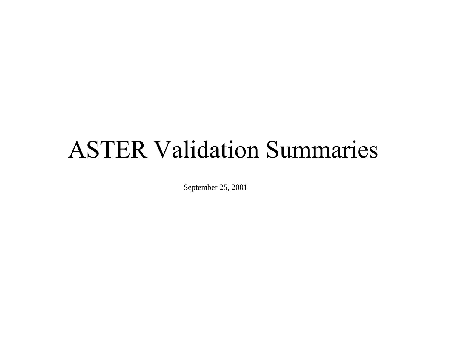# ASTER Validation Summarie s

September 25, 2001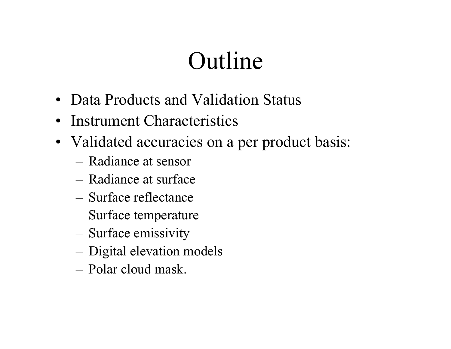# Outline

- Data Products and Validation Status
- Instrument Characteristics
- Validated accuracies on a per product basis:
	- Radiance at sensor
	- Radiance at surface
	- Surface reflectance
	- –Surface temperature
	- –Surface emissivity
	- –Digital elevation models
	- Polar cloud mask.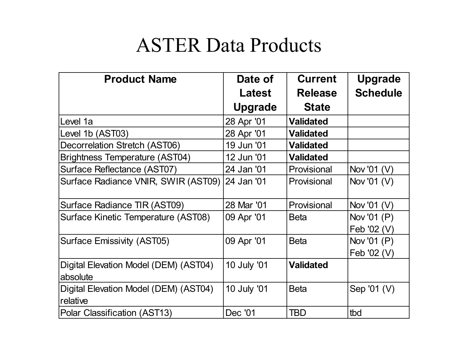## ASTER Data Products

| <b>Product Name</b>                               | Date of        | <b>Current</b>   | <b>Upgrade</b>             |
|---------------------------------------------------|----------------|------------------|----------------------------|
|                                                   | Latest         | <b>Release</b>   | <b>Schedule</b>            |
|                                                   | <b>Upgrade</b> | <b>State</b>     |                            |
| Level 1a                                          | 28 Apr '01     | <b>Validated</b> |                            |
| Level 1b (AST03)                                  | 28 Apr '01     | <b>Validated</b> |                            |
| Decorrelation Stretch (AST06)                     | 19 Jun '01     | <b>Validated</b> |                            |
| <b>Brightness Temperature (AST04)</b>             | 12 Jun '01     | <b>Validated</b> |                            |
| Surface Reflectance (AST07)                       | 24 Jan '01     | Provisional      | Nov '01 (V)                |
| Surface Radiance VNIR, SWIR (AST09)               | 24 Jan '01     | Provisional      | Nov '01 (V)                |
| Surface Radiance TIR (AST09)                      | 28 Mar '01     | Provisional      | Nov '01 (V)                |
| Surface Kinetic Temperature (AST08)               | 09 Apr '01     | <b>Beta</b>      | Nov '01 (P)<br>Feb '02 (V) |
| <b>Surface Emissivity (AST05)</b>                 | 09 Apr '01     | <b>Beta</b>      | Nov '01 (P)<br>Feb '02 (V) |
| Digital Elevation Model (DEM) (AST04)<br>absolute | 10 July '01    | <b>Validated</b> |                            |
| Digital Elevation Model (DEM) (AST04)<br>relative | 10 July '01    | <b>Beta</b>      | Sep '01 (V)                |
| Polar Classification (AST13)                      | Dec '01        | TBD              | tbd                        |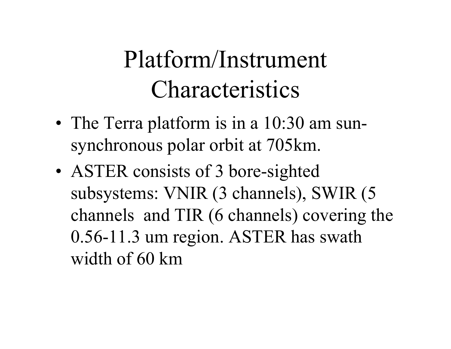# Platform/Instrument Characteristics

- •• The Terra platform is in a 10:30 am sunsynchronous polar orbit at 705km.
- •• ASTER consists of 3 bore-sighted subsystems: VNIR (3 channels), SWIR (5 channels and TIR (6 channels) covering the 0.56-11.3 um region. ASTER has swath width of 60 km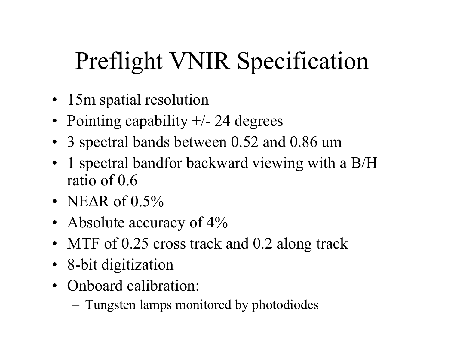# Preflight VNIR Specification

- 15m spatial resolution
- Pointing capability +/- 24 degrees
- 3 spectral bands between 0.52 and 0.86 um
- $\bullet$ 1 spectral bandfor backward viewing with a B/H ratio of 0.6
- NE∆R of 0.5%
- Absolute accuracy of 4%
- MTF of 0.25 cross track and 0.2 along track
- 8-bit digitization
- $\bullet$ Onboard calibration:
	- Tungsten lamps monitored by photodiodes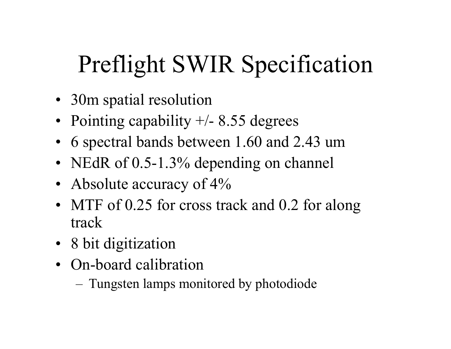# Preflight SWIR Specification

- 30m spatial resolution
- Pointing capability +/- 8.55 degrees
- 6 spectral bands between 1.60 and 2.43 um
- NEdR of 0.5-1.3% depending on channel
- Absolute accuracy of 4%
- MTF of 0.25 for cross track and 0.2 for along track
- 8 bit digitization
- On-board calibration

– Tungsten lamps monitored by photodiode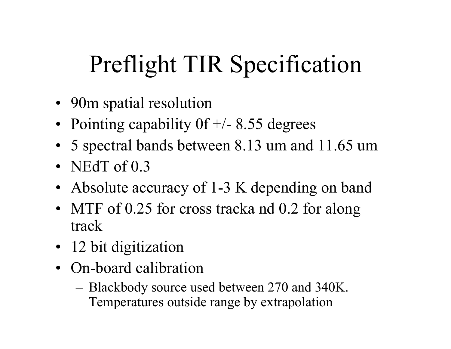# Preflight TIR Specification

- 90m spatial resolution
- Pointing capability 0f +/- 8.55 degrees
- 5 spectral bands between 8.13 um and 11.65 um
- NEdT of  $0.3$
- Absolute accuracy of 1-3 K depending on band
- MTF of 0.25 for cross tracka nd 0.2 for along track
- 12 bit digitization
- On-board calibration
	- Blackbody source used between 270 and 340K. Temperatures outside range by extrapolation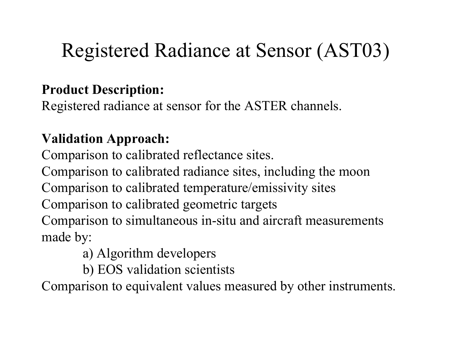# Registered Radiance at Sensor (AST03)

### **Product Description:**

Registered radiance at sensor for the ASTER channels.

### **Validation Approach:**

Comparison to calibrated reflectance sites.

Comparison to calibrated radiance sites, including the moon Comparison to calibrated temperature/emissivity sites

Comparison to calibrated geometric targets

Comparison to simultaneous in-situ and aircraft measurements made by:

- a) Algorithm developers
- b) EOS validation scientists

Comparison to equivalent values measured by other instruments.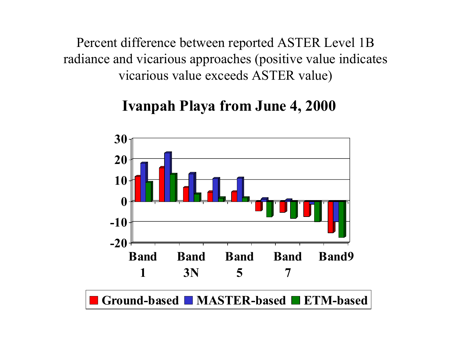Percent difference between reported ASTER Level 1B radiance and vicarious approaches (positive value indicates vicarious value exceeds ASTER value)

## **Ivanpah P l a ya from Ju n e 4, 2000**

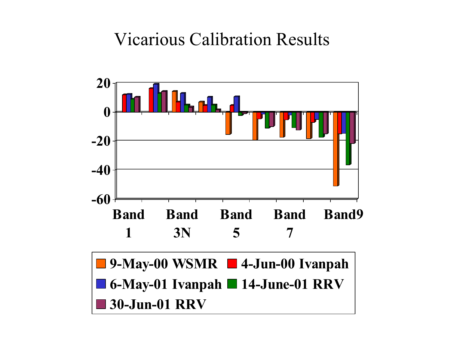## Vicarious Calibration Results

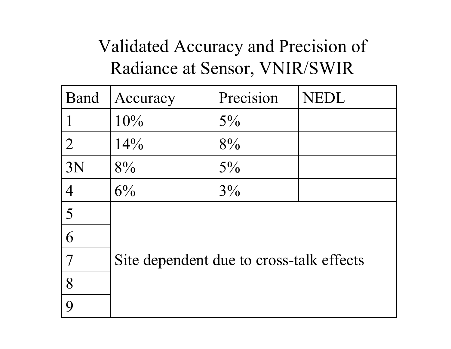## Validated Accuracy and Precision of Radiance at Sensor, VNIR/SWIR

| Band             | Accuracy                                 | Precision | <b>NEDL</b> |
|------------------|------------------------------------------|-----------|-------------|
|                  | 10%                                      | $5\%$     |             |
| $\overline{2}$   | 14%                                      | 8%        |             |
| 3N               | 8%                                       | $5\%$     |             |
| $\overline{4}$   | $6\%$                                    | $3\%$     |             |
| 5                |                                          |           |             |
| 6                |                                          |           |             |
| $\overline{7}$   | Site dependent due to cross-talk effects |           |             |
| 8                |                                          |           |             |
| $\boldsymbol{Q}$ |                                          |           |             |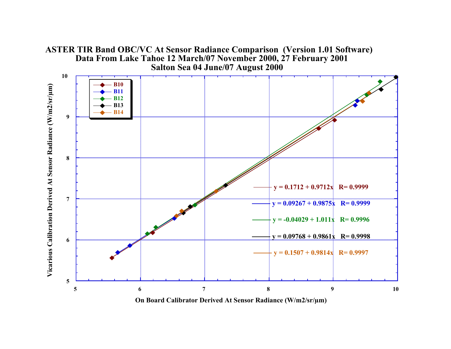#### **ASTER TIR Band OBC/VC At Sensor Radiance Comparison (Version 1.01 Software) Data From Lake Tahoe 12 March/07 November 2000, 27 February 2001 Salton Sea 04 June/07 August 2000**

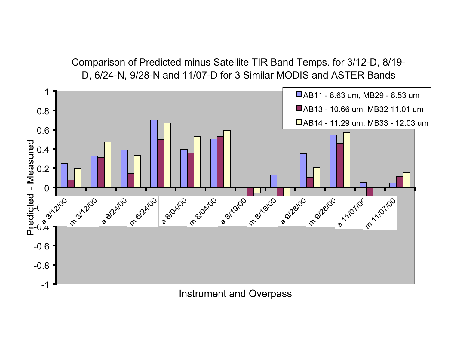Comparison of Predicted minus Satellite TIR Band Temps. for 3/12-D, 8/19- D, 6/24-N, 9/28-N and 11/07-D for 3 Similar MODIS and ASTER Bands



Instrument and Overpass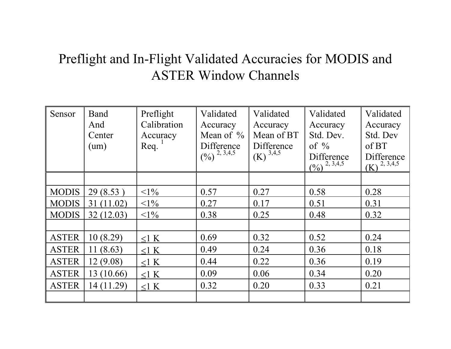### Preflight and In-Flight Validated Accuracies for MODIS and ASTER Window Channels

| Sensor       | <b>Band</b> | Preflight   | Validated                                                                | Validated              | Validated                                                                 | Validated                       |
|--------------|-------------|-------------|--------------------------------------------------------------------------|------------------------|---------------------------------------------------------------------------|---------------------------------|
|              | And         | Calibration | Accuracy                                                                 | Accuracy               | Accuracy                                                                  | Accuracy                        |
|              | Center      | Accuracy    | Mean of $\%$                                                             | Mean of BT             | Std. Dev.                                                                 | Std. Dev                        |
|              | (num)       | Req.        | Difference                                                               | Difference             | of $\%$                                                                   | of BT                           |
|              |             |             | $\left(\frac{0}{0}\right)^{2, \overline{3}, \overline{4}, \overline{5}}$ | $(K)$ <sup>3,4,5</sup> | Difference<br>$\frac{0}{2}$ $\frac{2}{3}$ , $\frac{3}{4}$ , $\frac{1}{5}$ | Difference<br>2, 3, 4, 5<br>(K) |
|              |             |             |                                                                          |                        |                                                                           |                                 |
| <b>MODIS</b> | 29(8.53)    | $<1\%$      | 0.57                                                                     | 0.27                   | 0.58                                                                      | 0.28                            |
| <b>MODIS</b> | 31(11.02)   | $<1\%$      | 0.27                                                                     | 0.17                   | 0.51                                                                      | 0.31                            |
| <b>MODIS</b> | 32(12.03)   | $<1\%$      | 0.38                                                                     | 0.25                   | 0.48                                                                      | 0.32                            |
|              |             |             |                                                                          |                        |                                                                           |                                 |
| <b>ASTER</b> | 10(8.29)    | $\leq$ 1 K  | 0.69                                                                     | 0.32                   | 0.52                                                                      | 0.24                            |
| <b>ASTER</b> | 11(8.63)    | $<$ 1 K     | 0.49                                                                     | 0.24                   | 0.36                                                                      | 0.18                            |
| <b>ASTER</b> | 12(9.08)    | $<$ 1 K     | 0.44                                                                     | 0.22                   | 0.36                                                                      | 0.19                            |
| <b>ASTER</b> | 13(10.66)   | $<$ 1 K     | 0.09                                                                     | 0.06                   | 0.34                                                                      | 0.20                            |
| <b>ASTER</b> | 14 (11.29)  | $<$ 1 K     | 0.32                                                                     | 0.20                   | 0.33                                                                      | 0.21                            |
|              |             |             |                                                                          |                        |                                                                           |                                 |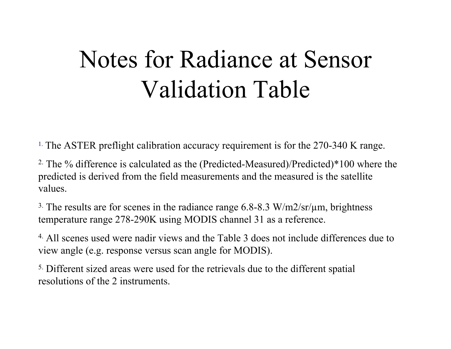# Notes for Radiance at Sensor Validation Table

<sup>1.</sup> The ASTER preflight calibration accuracy requirement is for the 270-340 K range.

2. The % difference is calculated as the (Predicted-Measured)/Predicted)\*100 where the predicted is derived from the field measurements and the measured is the satellite values.

<sup>3.</sup> The results are for scenes in the radiance range  $6.8$ - $8.3$  W/m2/sr/ $\mu$ m, brightness temperature range 278-290K using MODIS channel 31 as a reference.

4. All scenes used were nadir views and the Table 3 does not include differences due to view angle (e.g. response versus scan angle for MODIS).

<sup>5.</sup> Different sized areas were used for the retrievals due to the different spatial resolutions of the 2 instruments.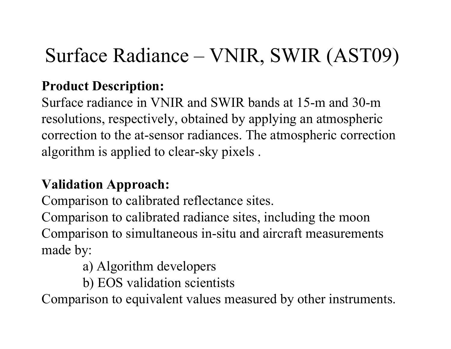# Surface Radiance – VNIR, SWIR (AST09)

### **Product Description:**

Surface radiance in VNIR and SWIR bands at 15-m and 30-m resolutions, respectively, obtained by applying an atmospheric correction to the at-sensor radiances. The atmospheric correction algorithm is applied to clear-sky pixels .

### **Validation Approach:**

Comparison to calibrated reflectance sites.

Comparison to calibrated radiance sites, including the moon Comparison to simultaneous in-situ and aircraft measurements made by:

- a) Algorithm developers
- b) EOS validation scientists

Comparison to equivalent values measured by other instruments.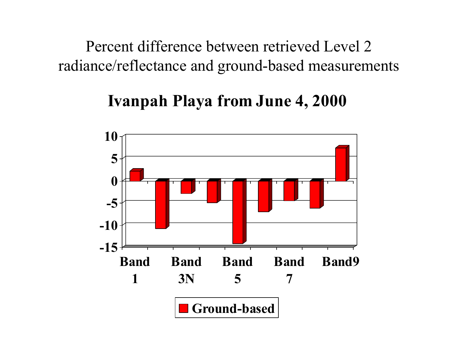Percent difference between retrieved Level 2 radiance/reflectance and ground-based measurements

## **Ivanpah Playa fr o m June 4, 2000**

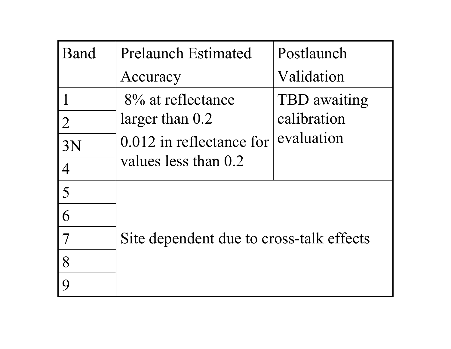| Band           | <b>Prelaunch Estimated</b>               | Postlaunch   |
|----------------|------------------------------------------|--------------|
|                | Accuracy                                 | Validation   |
|                | 8% at reflectance                        | TBD awaiting |
| $\overline{2}$ | larger than $0.2$                        | calibration  |
| 3N             | $0.012$ in reflectance for               | evaluation   |
| $\overline{4}$ | values less than 0.2                     |              |
| 5              |                                          |              |
| 6              |                                          |              |
|                | Site dependent due to cross-talk effects |              |
| 8              |                                          |              |
| Q              |                                          |              |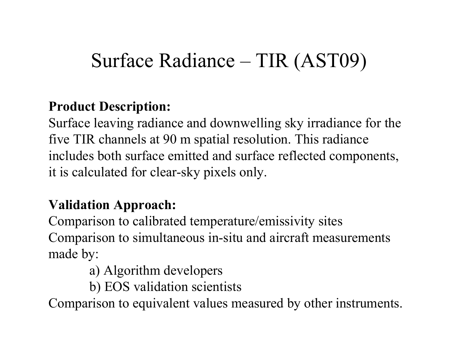# Surface Radiance – TIR (AST09)

### **Product Description:**

Surface leaving radiance and downwelling sky irradiance for the five TIR channels at 90 m spatial resolution. This radiance includes both surface emitted and surface reflected components, it is calculated for clear-sky pixels only.

### **Validation Approach:**

Comparison to calibrated temperature/emissivity sites Comparison to simultaneous in-situ and aircraft measurements made by:

- a) Algorithm developers
- b) EOS validation scientists

Comparison to equivalent values measured by other instruments.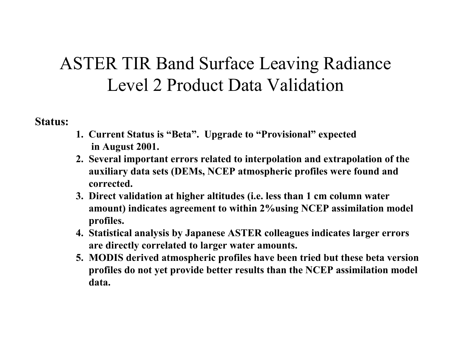## ASTER TIR Band Surface Leaving Radiance Level 2 Product Data Validation

**Status:**

- **1. Current Status is "Beta". Upgrade to "Provisional" expected in August 2001.**
- **2. Several important errors related to interpolation and extrapolation of the auxiliary data sets (DEMs, NCEP atmospheric profiles were found and corrected.**
- **3. Direct validation at higher altitudes (i.e. less than 1 cm column water amount) indicates agreement to within 2%using NCEP assimilation model profiles.**
- **4. Statistical analysis by Japanese ASTER colleagues indicates larger errors are directly correlated to larger water amounts.**
- **5. MODIS derived atmospheric profiles have been tried but these beta version profiles do not yet provide better results than the NCEP assimilation model data.**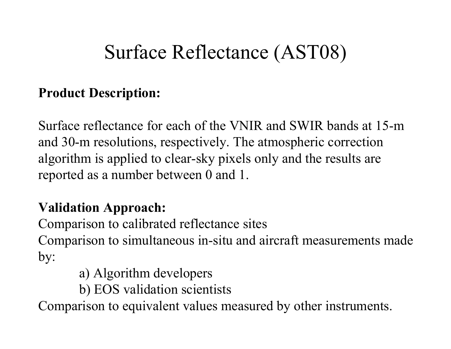# Surface Reflectance (AST08)

### **Product Description:**

Surface reflectance for each of the VNIR and SWIR bands at 15-m and 30-m resolutions, respectively. The atmospheric correction algorithm is applied to clear-sky pixels only and the results are reported as a number between 0 and 1.

### **Validation Approach:**

Comparison to calibrated reflectance sites Comparison to simultaneous in-situ and aircraft measurements made by:

- a) Algorithm developers
- b) EOS validation scientists

Comparison to equivalent values measured by other instruments.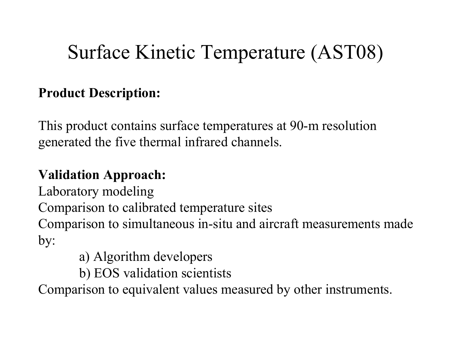# Surface Kinetic Temperature (AST08)

### **Product Description:**

This product contains surface temperatures at 90-m resolution generated the five thermal infrared channels.

## **Validation Approach:**

Laboratory modeling

Comparison to calibrated temperature sites

Comparison to simultaneous in-situ and aircraft measurements made by:

- a) Algorithm developers
- b) EOS validation scientists

Comparison to equivalent values measured by other instruments.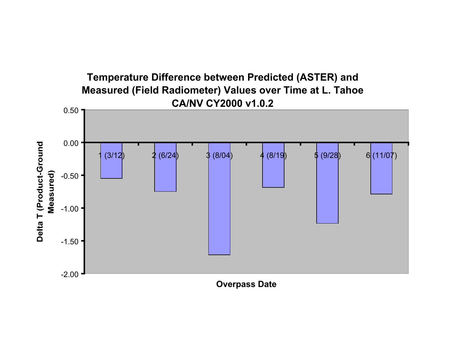

**Overpass Date**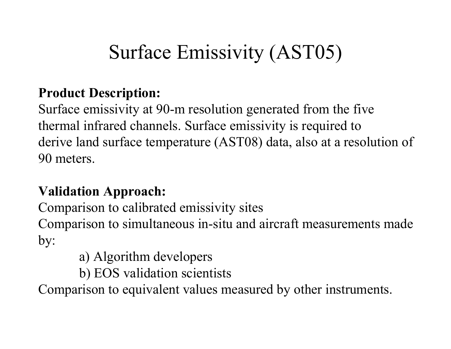# Surface Emissivity (AST05)

### **Product Description:**

Surface emissivity at 90-m resolution generated from the five thermal infrared channels. Surface emissivity is required to derive land surface temperature (AST08) data, also at a resolution of 90 meters.

### **Validation Approach:**

Comparison to calibrated emissivity sites Comparison to simultaneous in-situ and aircraft measurements made by:

- a) Algorithm developers
- b) EOS validation scientists

Comparison to equivalent values measured by other instruments.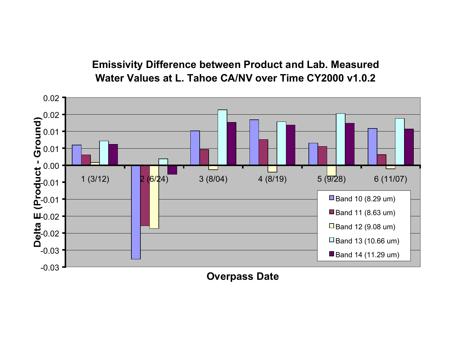**Emissivity Difference between Product and Lab. Measured Water Values at L. Tahoe CA/NV over Time CY2000 v1.0.2**



#### **Overpass Date**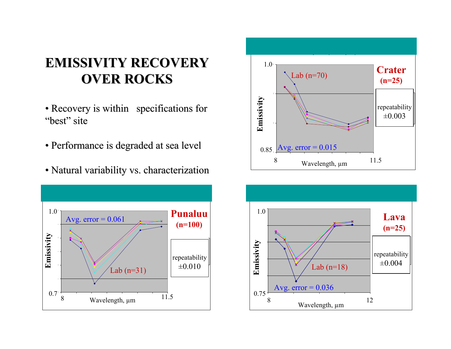### **EMISSIVITY RECOVERY EMISSIVITY RECOVERYOVER ROCKS OVER ROCKS**

- Recovery is within specifications for "best" site
- Performance is degraded at sea level
- Natural variability vs. characterization





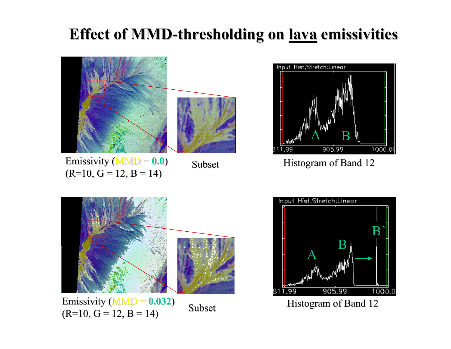## **Effect of MMD Effect of MMD Lava MMD thresholding -thresholding thresholding on lava emissivities emissivities**





Subset



Emissivity  $(MMD = 0.032)$  Subse  $(R=10, G=12, B=14)$ 

Subset



Histogram of Band 12

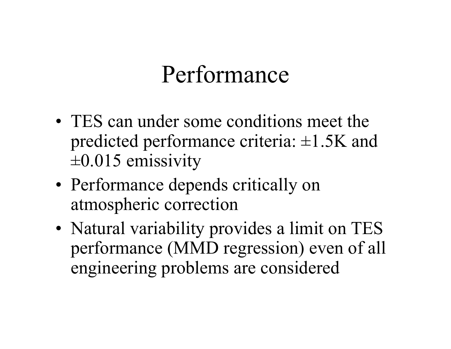# Performance

- •• TES can under some conditions meet the predicted performance criteria: ±1.5K and  $\pm 0.015$  emissivity
- • Performance depends critically on atmospheric correction
- •• Natural variability provides a limit on TES performance (MMD regression) even of all engineering problems are considered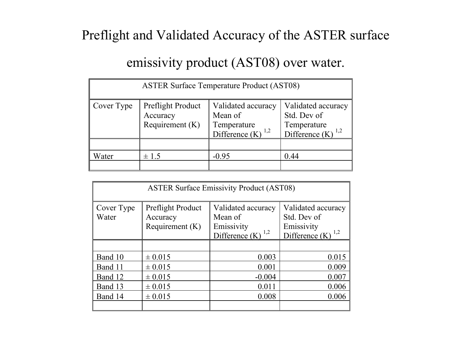#### Preflight and Validated Accuracy of the ASTER surface

#### emissivity product (AST08) over water.

| <b>ASTER Surface Temperature Product (AST08)</b> |                                                    |                                                                       |                                                                    |
|--------------------------------------------------|----------------------------------------------------|-----------------------------------------------------------------------|--------------------------------------------------------------------|
| Cover Type                                       | Preflight Product<br>Accuracy<br>Requirement $(K)$ | Validated accuracy<br>Mean of<br>Temperature<br>Difference (K)<br>1,2 | Validated accuracy<br>Std. Dev of<br>Temperature<br>Difference (K) |
| Water                                            | $\pm$ 1.5                                          | $-0.95$                                                               | 0.44                                                               |

| <b>ASTER Surface Emissivity Product (AST08)</b> |                                                    |                                                                                |                                                                                    |
|-------------------------------------------------|----------------------------------------------------|--------------------------------------------------------------------------------|------------------------------------------------------------------------------------|
| Cover Type<br>Water                             | Preflight Product<br>Accuracy<br>Requirement $(K)$ | Validated accuracy<br>Mean of<br>Emissivity<br>Difference $(K)$ <sup>1,2</sup> | Validated accuracy<br>Std. Dev of<br>Emissivity<br>Difference $(K)$ <sup>1,2</sup> |
|                                                 |                                                    |                                                                                |                                                                                    |
| Band 10                                         | ± 0.015                                            | 0.003                                                                          | 0.015                                                                              |
| Band 11                                         | ± 0.015                                            | 0.001                                                                          | 0.009                                                                              |
| Band 12                                         | ± 0.015                                            | $-0.004$                                                                       | 0.007                                                                              |
| Band 13                                         | $\pm 0.015$                                        | 0.011                                                                          | 0.006                                                                              |
| Band 14                                         | ± 0.015                                            | 0.008                                                                          | 0.006                                                                              |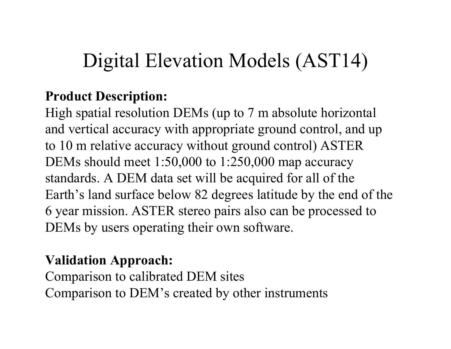# Digital Elevation Models (AST14)

### **Product Description:**

High spatial resolution DEMs (up to 7 m absolute horizontal and vertical accuracy with appropriate ground control, and up to 10 m relative accuracy without ground control) ASTER DEMs should meet 1:50,000 to 1:250,000 map accuracy standards. A DEM data set will be acquired for all of the Earth's land surface below 82 degrees latitude by the end of the 6 year mission. ASTER stereo pairs also can be processed to DEMs by users operating their own software.

### **Validation Approach:**

Comparison to calibrated DEM sites Comparison to DEM's created by other instruments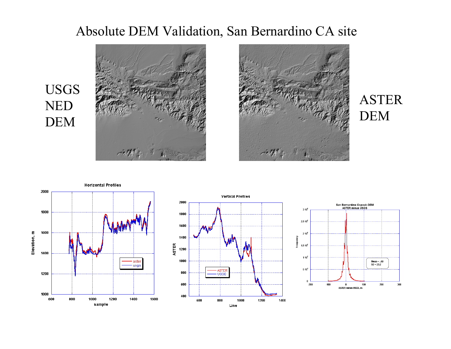#### Absolute DEM Validation, San Bernardino CA site





### ASTER DEM



USGS

NED

DEM



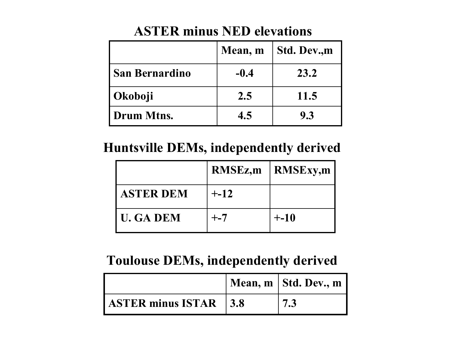|                | Mean, m | Std. Dev.,m |
|----------------|---------|-------------|
| San Bernardino | $-0.4$  | 23.2        |
| Okoboji        | 2.5     | 11.5        |
| l Drum Mtns.   | 4.5     | 9.3         |

#### **ASTER minus NED elevations**

#### **Huntsville DEMs, independently derived**

|                  | <b>RMSEz,m</b> | <b>RMSExy,m</b> |
|------------------|----------------|-----------------|
| <b>ASTER DEM</b> | $+ -12$        |                 |
| <b>U. GA DEM</b> | $+ - 7$        | $+ -10$         |

#### **Toulouse DEMs, independently derived**

|                                       | Mean, $m \mid$ Std. Dev., $m$ |
|---------------------------------------|-------------------------------|
| $\vert$ ASTER minus ISTAR $\vert$ 3.8 |                               |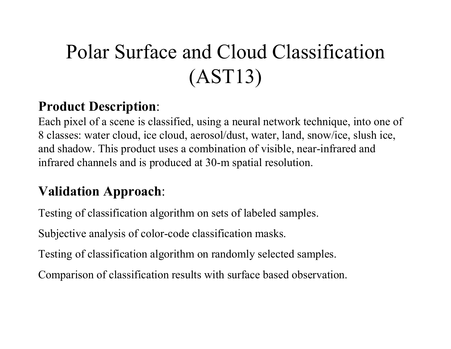# Polar Surface and Cloud Classification (AST13)

### **Product Description**:

Each pixel of a scene is classified, using a neural network technique, into one of 8 classes: water cloud, ice cloud, aerosol/dust, water, land, snow/ice, slush ice, and shadow. This product uses a combination of visible, near-infrared and infrared channels and is produced at 30-m spatial resolution.

### **Validation Approach**:

Testing of classification algorithm on sets of labeled samples.

Subjective analysis of color-code classification masks.

Testing of classification algorithm on randomly selected samples.

Comparison of classification results with surface based observation.